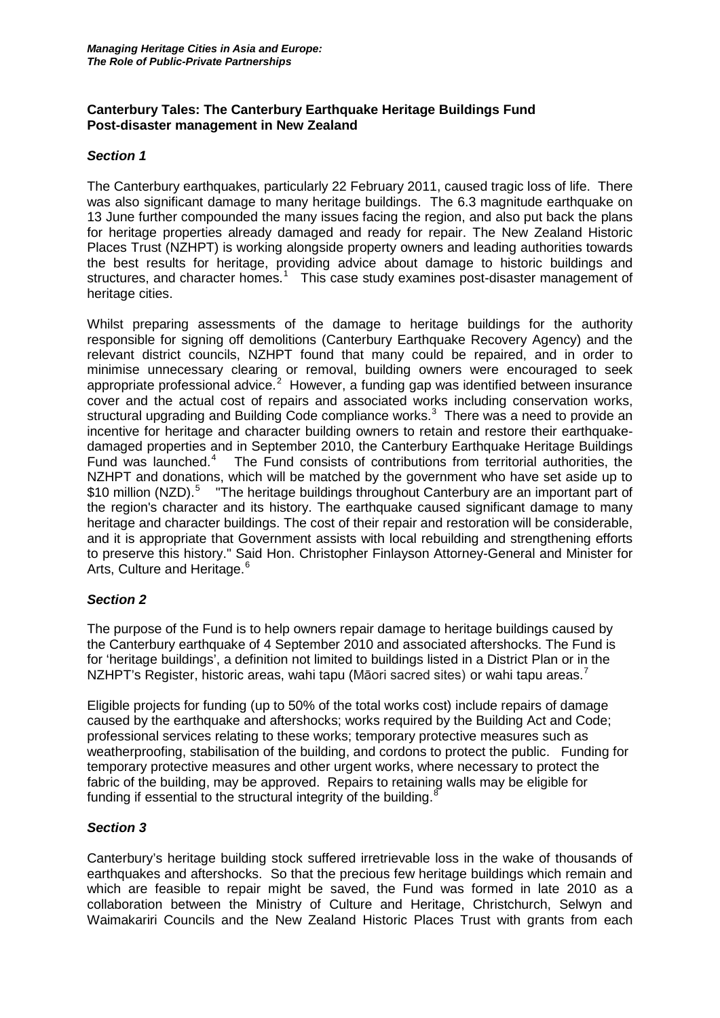# **Canterbury Tales: The Canterbury Earthquake Heritage Buildings Fund Post-disaster management in New Zealand**

### *Section 1*

The Canterbury earthquakes, particularly 22 February 2011, caused tragic loss of life. There was also significant damage to many heritage buildings. The 6.3 magnitude earthquake on 13 June further compounded the many issues facing the region, and also put back the plans for heritage properties already damaged and ready for repair. The New Zealand Historic Places Trust (NZHPT) is working alongside property owners and leading authorities towards the best results for heritage, providing advice about damage to historic buildings and structures, and character homes.<sup>[1](#page-3-0)</sup> This case study examines post-disaster management of heritage cities.

Whilst preparing assessments of the damage to heritage buildings for the authority responsible for signing off demolitions (Canterbury Earthquake Recovery Agency) and the relevant district councils, NZHPT found that many could be repaired, and in order to minimise unnecessary clearing or removal, building owners were encouraged to seek appropriate professional advice.<sup>[2](#page-3-1)</sup> However, a funding gap was identified between insurance cover and the actual cost of repairs and associated works including conservation works, structural upgrading and Building Code compliance works.<sup>[3](#page-3-2)</sup> There was a need to provide an incentive for heritage and character building owners to retain and restore their earthquakedamaged properties and in September 2010, the Canterbury Earthquake Heritage Buildings Fund was launched.<sup>[4](#page-3-3)</sup> The Fund consists of contributions from territorial authorities, the NZHPT and donations, which will be matched by the government who have set aside up to \$10 million (NZD).<sup>[5](#page-3-4)</sup> The heritage buildings throughout Canterbury are an important part of the region's character and its history. The earthquake caused significant damage to many heritage and character buildings. The cost of their repair and restoration will be considerable, and it is appropriate that Government assists with local rebuilding and strengthening efforts to preserve this history." Said Hon. Christopher Finlayson Attorney-General and Minister for Arts, Culture and Heritage.<sup>[6](#page-3-5)</sup>

### *Section 2*

The purpose of the Fund is to help owners repair damage to heritage buildings caused by the Canterbury earthquake of 4 September 2010 and associated aftershocks. The Fund is for 'heritage buildings', a definition not limited to buildings listed in a District Plan or in the NZHPT's Register, historic areas, wahi tapu (Māori sacred sites) or wahi tapu areas.

Eligible projects for funding (up to 50% of the total works cost) include repairs of damage caused by the earthquake and aftershocks; works required by the Building Act and Code; professional services relating to these works; temporary protective measures such as weatherproofing, stabilisation of the building, and cordons to protect the public. Funding for temporary protective measures and other urgent works, where necessary to protect the fabric of the building, may be approved. Repairs to retaining walls may be eligible for funding if essential to the structural integrity of the building.<sup>[8](#page-3-7)</sup>

# *Section 3*

Canterbury's heritage building stock suffered irretrievable loss in the wake of thousands of earthquakes and aftershocks. So that the precious few heritage buildings which remain and which are feasible to repair might be saved, the Fund was formed in late 2010 as a collaboration between the Ministry of Culture and Heritage, Christchurch, Selwyn and Waimakariri Councils and the New Zealand Historic Places Trust with grants from each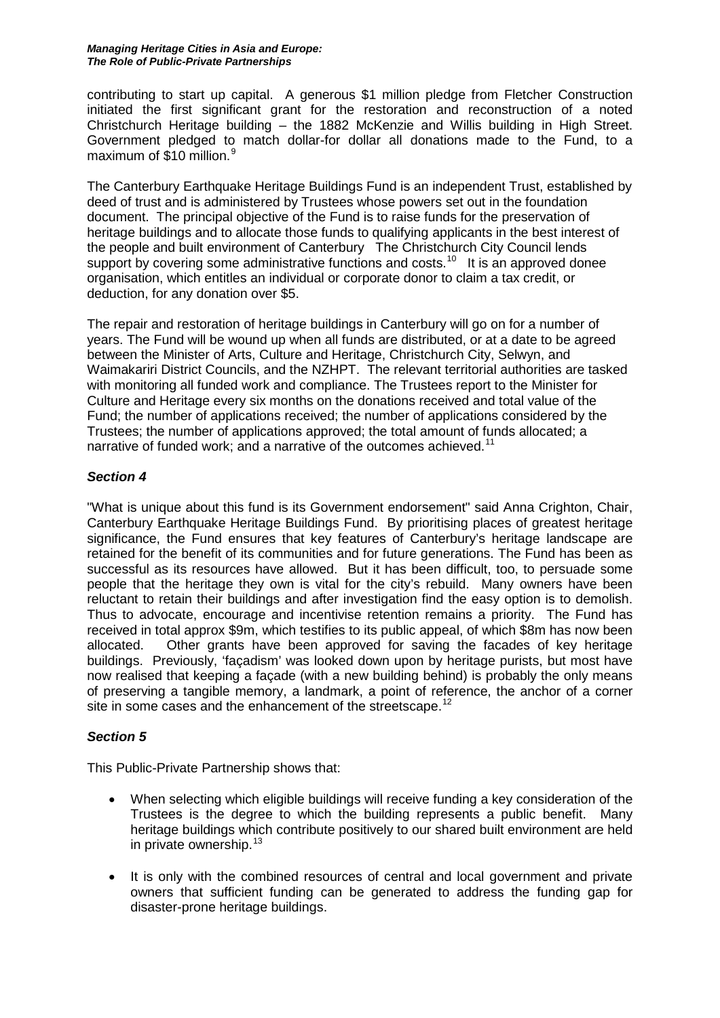#### *Managing Heritage Cities in Asia and Europe: The Role of Public-Private Partnerships*

contributing to start up capital. A generous \$1 million pledge from Fletcher Construction initiated the first significant grant for the restoration and reconstruction of a noted Christchurch Heritage building – the 1882 McKenzie and Willis building in High Street. Government pledged to match dollar-for dollar all donations made to the Fund, to a maximum of \$10 million.<sup>[9](#page-3-8)</sup>

The Canterbury Earthquake Heritage Buildings Fund is an independent Trust, established by deed of trust and is administered by Trustees whose powers set out in the foundation document. The principal objective of the Fund is to raise funds for the preservation of heritage buildings and to allocate those funds to qualifying applicants in the best interest of the people and built environment of Canterbury The Christchurch City Council lends support by covering some administrative functions and costs.<sup>[10](#page-3-9)</sup> It is an approved donee organisation, which entitles an individual or corporate donor to claim a tax credit, or deduction, for any donation over \$5.

The repair and restoration of heritage buildings in Canterbury will go on for a number of years. The Fund will be wound up when all funds are distributed, or at a date to be agreed between the Minister of Arts, Culture and Heritage, Christchurch City, Selwyn, and Waimakariri District Councils, and the NZHPT. The relevant territorial authorities are tasked with monitoring all funded work and compliance. The Trustees report to the Minister for Culture and Heritage every six months on the donations received and total value of the Fund; the number of applications received; the number of applications considered by the Trustees; the number of applications approved; the total amount of funds allocated; a narrative of funded work; and a narrative of the outcomes achieved.<sup>[11](#page-3-10)</sup>

# *Section 4*

"What is unique about this fund is its Government endorsement" said Anna Crighton, Chair, Canterbury Earthquake Heritage Buildings Fund. By prioritising places of greatest heritage significance, the Fund ensures that key features of Canterbury's heritage landscape are retained for the benefit of its communities and for future generations. The Fund has been as successful as its resources have allowed. But it has been difficult, too, to persuade some people that the heritage they own is vital for the city's rebuild. Many owners have been reluctant to retain their buildings and after investigation find the easy option is to demolish. Thus to advocate, encourage and incentivise retention remains a priority. The Fund has received in total approx \$9m, which testifies to its public appeal, of which \$8m has now been allocated. Other grants have been approved for saving the facades of key heritage buildings. Previously, 'façadism' was looked down upon by heritage purists, but most have now realised that keeping a façade (with a new building behind) is probably the only means of preserving a tangible memory, a landmark, a point of reference, the anchor of a corner site in some cases and the enhancement of the streetscape.<sup>[12](#page-3-11)</sup>

# *Section 5*

This Public-Private Partnership shows that:

- When selecting which eligible buildings will receive funding a key consideration of the Trustees is the degree to which the building represents a public benefit. Many heritage buildings which contribute positively to our shared built environment are held in private ownership. $13$
- It is only with the combined resources of central and local government and private owners that sufficient funding can be generated to address the funding gap for disaster-prone heritage buildings.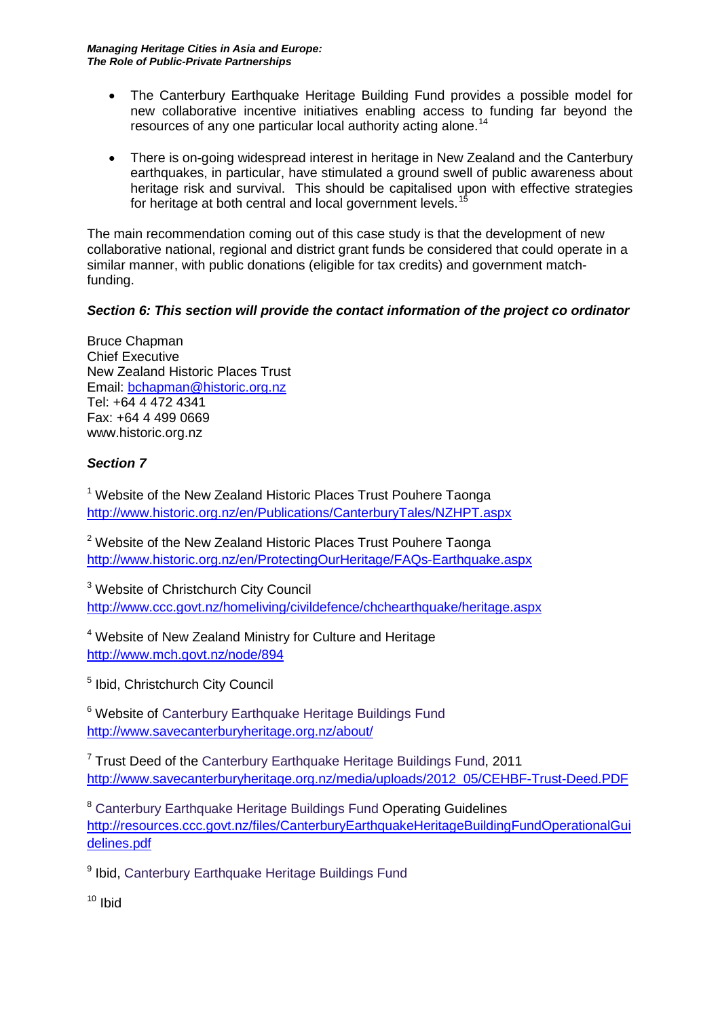*Managing Heritage Cities in Asia and Europe: The Role of Public-Private Partnerships*

- The Canterbury Earthquake Heritage Building Fund provides a possible model for new collaborative incentive initiatives enabling access to funding far beyond the resources of any one particular local authority acting alone.<sup>[14](#page-3-13)</sup>
- There is on-going widespread interest in heritage in New Zealand and the Canterbury earthquakes, in particular, have stimulated a ground swell of public awareness about heritage risk and survival. This should be capitalised upon with effective strategies for heritage at both central and local government levels.<sup>1</sup>

The main recommendation coming out of this case study is that the development of new collaborative national, regional and district grant funds be considered that could operate in a similar manner, with public donations (eligible for tax credits) and government matchfunding.

# *Section 6: This section will provide the contact information of the project co ordinator*

Bruce Chapman Chief Executive New Zealand Historic Places Trust Email: [bchapman@historic.org.nz](mailto:bchapman@historic.org.nz) Tel: +64 4 472 4341 Fax: +64 4 499 0669 www.historic.org.nz

# *Section 7*

<sup>1</sup> Website of the New Zealand Historic Places Trust Pouhere Taonga <http://www.historic.org.nz/en/Publications/CanterburyTales/NZHPT.aspx>

<sup>2</sup> Website of the New Zealand Historic Places Trust Pouhere Taonga <http://www.historic.org.nz/en/ProtectingOurHeritage/FAQs-Earthquake.aspx>

<sup>3</sup> Website of Christchurch City Council <http://www.ccc.govt.nz/homeliving/civildefence/chchearthquake/heritage.aspx>

<sup>4</sup> Website of New Zealand Ministry for Culture and Heritage <http://www.mch.govt.nz/node/894>

<sup>5</sup> Ibid, Christchurch City Council

<sup>6</sup> Website of Canterbury Earthquake Heritage Buildings Fund <http://www.savecanterburyheritage.org.nz/about/>

 $7$  Trust Deed of the Canterbury Earthquake Heritage Buildings Fund, 2011 [http://www.savecanterburyheritage.org.nz/media/uploads/2012\\_05/CEHBF-Trust-Deed.PDF](http://www.savecanterburyheritage.org.nz/media/uploads/2012_05/CEHBF-Trust-Deed.PDF)

<sup>8</sup> Canterbury Earthquake Heritage Buildings Fund Operating Guidelines [http://resources.ccc.govt.nz/files/CanterburyEarthquakeHeritageBuildingFundOperationalGui](http://resources.ccc.govt.nz/files/CanterburyEarthquakeHeritageBuildingFundOperationalGuidelines.pdf) [delines.pdf](http://resources.ccc.govt.nz/files/CanterburyEarthquakeHeritageBuildingFundOperationalGuidelines.pdf)

<sup>9</sup> Ibid, Canterbury Earthquake Heritage Buildings Fund

<sup>10</sup> Ibid